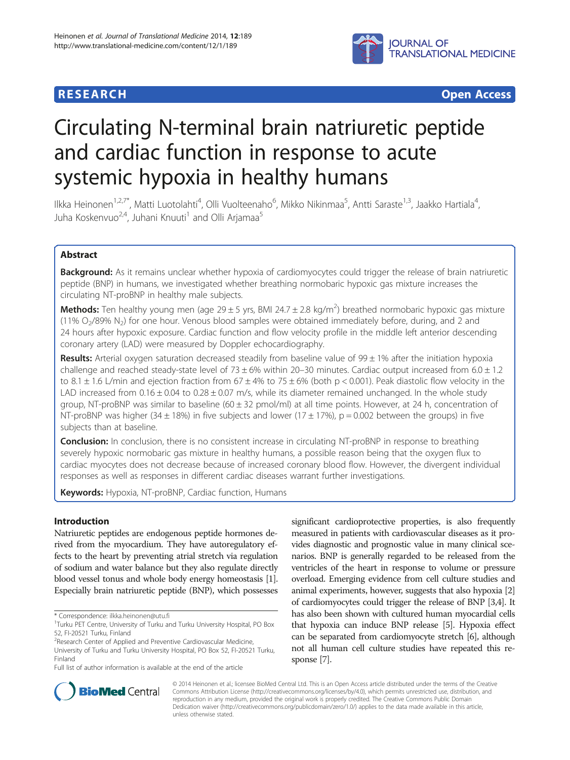

**RESEARCH CHINESE ARCH CHINESE ARCH CHINESE ARCH <b>CHINESE ARCH** 

# Circulating N-terminal brain natriuretic peptide and cardiac function in response to acute systemic hypoxia in healthy humans

Ilkka Heinonen<sup>1,2,7\*</sup>, Matti Luotolahti<sup>4</sup>, Olli Vuolteenaho<sup>6</sup>, Mikko Nikinmaa<sup>5</sup>, Antti Saraste<sup>1,3</sup>, Jaakko Hartiala<sup>4</sup> , Juha Koskenvuo<sup>2,4</sup>, Juhani Knuuti<sup>1</sup> and Olli Arjamaa<sup>5</sup>

# Abstract

Background: As it remains unclear whether hypoxia of cardiomyocytes could trigger the release of brain natriuretic peptide (BNP) in humans, we investigated whether breathing normobaric hypoxic gas mixture increases the circulating NT-proBNP in healthy male subjects.

Methods: Ten healthy young men (age 29 ± 5 yrs, BMI 24.7 ± 2.8 kg/m<sup>2</sup>) breathed normobaric hypoxic gas mixture  $(11\% \text{ O}_2/89\% \text{ N}_2)$  for one hour. Venous blood samples were obtained immediately before, during, and 2 and 24 hours after hypoxic exposure. Cardiac function and flow velocity profile in the middle left anterior descending coronary artery (LAD) were measured by Doppler echocardiography.

**Results:** Arterial oxygen saturation decreased steadily from baseline value of  $99 \pm 1\%$  after the initiation hypoxia challenge and reached steady-state level of 73  $\pm$  6% within 20–30 minutes. Cardiac output increased from 6.0  $\pm$  1.2 to 8.1  $\pm$  1.6 L/min and ejection fraction from 67  $\pm$  4% to 75  $\pm$  6% (both p < 0.001). Peak diastolic flow velocity in the LAD increased from  $0.16 \pm 0.04$  to  $0.28 \pm 0.07$  m/s, while its diameter remained unchanged. In the whole study group, NT-proBNP was similar to baseline (60 ± 32 pmol/ml) at all time points. However, at 24 h, concentration of NT-proBNP was higher (34  $\pm$  18%) in five subjects and lower (17  $\pm$  17%), p = 0.002 between the groups) in five subjects than at baseline.

Conclusion: In conclusion, there is no consistent increase in circulating NT-proBNP in response to breathing severely hypoxic normobaric gas mixture in healthy humans, a possible reason being that the oxygen flux to cardiac myocytes does not decrease because of increased coronary blood flow. However, the divergent individual responses as well as responses in different cardiac diseases warrant further investigations.

Keywords: Hypoxia, NT-proBNP, Cardiac function, Humans

# Introduction

Natriuretic peptides are endogenous peptide hormones derived from the myocardium. They have autoregulatory effects to the heart by preventing atrial stretch via regulation of sodium and water balance but they also regulate directly blood vessel tonus and whole body energy homeostasis [[1](#page-6-0)]. Especially brain natriuretic peptide (BNP), which possesses

significant cardioprotective properties, is also frequently measured in patients with cardiovascular diseases as it provides diagnostic and prognostic value in many clinical scenarios. BNP is generally regarded to be released from the ventricles of the heart in response to volume or pressure overload. Emerging evidence from cell culture studies and animal experiments, however, suggests that also hypoxia [[2](#page-6-0)] of cardiomyocytes could trigger the release of BNP [[3,4](#page-6-0)]. It has also been shown with cultured human myocardial cells that hypoxia can induce BNP release [[5](#page-6-0)]. Hypoxia effect can be separated from cardiomyocyte stretch [\[6\]](#page-6-0), although not all human cell culture studies have repeated this response [\[7\]](#page-6-0).



© 2014 Heinonen et al.; licensee BioMed Central Ltd. This is an Open Access article distributed under the terms of the Creative Commons Attribution License [\(http://creativecommons.org/licenses/by/4.0\)](http://creativecommons.org/licenses/by/4.0), which permits unrestricted use, distribution, and reproduction in any medium, provided the original work is properly credited. The Creative Commons Public Domain Dedication waiver [\(http://creativecommons.org/publicdomain/zero/1.0/](http://creativecommons.org/publicdomain/zero/1.0/)) applies to the data made available in this article, unless otherwise stated.

<sup>\*</sup> Correspondence: [ilkka.heinonen@utu.fi](mailto:ilkka.heinonen@utu.fi) <sup>1</sup>

<sup>&</sup>lt;sup>1</sup>Turku PET Centre, University of Turku and Turku University Hospital, PO Box 52, FI-20521 Turku, Finland

<sup>&</sup>lt;sup>2</sup> Research Center of Applied and Preventive Cardiovascular Medicine,

University of Turku and Turku University Hospital, PO Box 52, FI-20521 Turku, Finland

Full list of author information is available at the end of the article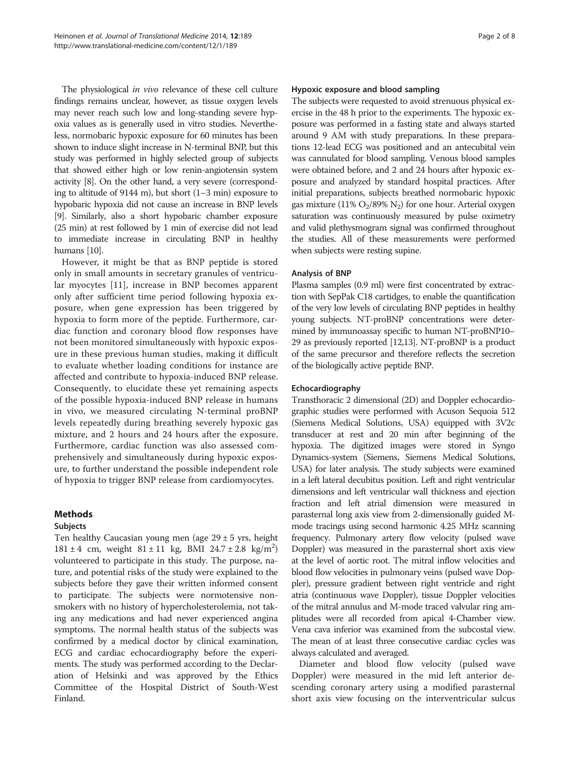The physiological in vivo relevance of these cell culture findings remains unclear, however, as tissue oxygen levels may never reach such low and long-standing severe hypoxia values as is generally used in vitro studies. Nevertheless, normobaric hypoxic exposure for 60 minutes has been shown to induce slight increase in N-terminal BNP, but this study was performed in highly selected group of subjects that showed either high or low renin-angiotensin system activity [[8](#page-6-0)]. On the other hand, a very severe (corresponding to altitude of 9144 m), but short (1–3 min) exposure to hypobaric hypoxia did not cause an increase in BNP levels [[9](#page-6-0)]. Similarly, also a short hypobaric chamber exposure (25 min) at rest followed by 1 min of exercise did not lead to immediate increase in circulating BNP in healthy humans [[10](#page-6-0)].

However, it might be that as BNP peptide is stored only in small amounts in secretary granules of ventricular myocytes [[11\]](#page-6-0), increase in BNP becomes apparent only after sufficient time period following hypoxia exposure, when gene expression has been triggered by hypoxia to form more of the peptide. Furthermore, cardiac function and coronary blood flow responses have not been monitored simultaneously with hypoxic exposure in these previous human studies, making it difficult to evaluate whether loading conditions for instance are affected and contribute to hypoxia-induced BNP release. Consequently, to elucidate these yet remaining aspects of the possible hypoxia-induced BNP release in humans in vivo, we measured circulating N-terminal proBNP levels repeatedly during breathing severely hypoxic gas mixture, and 2 hours and 24 hours after the exposure. Furthermore, cardiac function was also assessed comprehensively and simultaneously during hypoxic exposure, to further understand the possible independent role of hypoxia to trigger BNP release from cardiomyocytes.

# Methods

# Subjects

Ten healthy Caucasian young men (age  $29 \pm 5$  yrs, height  $181 \pm 4$  cm, weight  $81 \pm 11$  kg, BMI  $24.7 \pm 2.8$  kg/m<sup>2</sup>) volunteered to participate in this study. The purpose, nature, and potential risks of the study were explained to the subjects before they gave their written informed consent to participate. The subjects were normotensive nonsmokers with no history of hypercholesterolemia, not taking any medications and had never experienced angina symptoms. The normal health status of the subjects was confirmed by a medical doctor by clinical examination, ECG and cardiac echocardiography before the experiments. The study was performed according to the Declaration of Helsinki and was approved by the Ethics Committee of the Hospital District of South-West Finland.

# Hypoxic exposure and blood sampling

The subjects were requested to avoid strenuous physical exercise in the 48 h prior to the experiments. The hypoxic exposure was performed in a fasting state and always started around 9 AM with study preparations. In these preparations 12-lead ECG was positioned and an antecubital vein was cannulated for blood sampling. Venous blood samples were obtained before, and 2 and 24 hours after hypoxic exposure and analyzed by standard hospital practices. After initial preparations, subjects breathed normobaric hypoxic gas mixture (11%  $O_2/89\%$  N<sub>2</sub>) for one hour. Arterial oxygen saturation was continuously measured by pulse oximetry and valid plethysmogram signal was confirmed throughout the studies. All of these measurements were performed when subjects were resting supine.

# Analysis of BNP

Plasma samples (0.9 ml) were first concentrated by extraction with SepPak C18 cartidges, to enable the quantification of the very low levels of circulating BNP peptides in healthy young subjects. NT-proBNP concentrations were determined by immunoassay specific to human NT-proBNP10– 29 as previously reported [[12,13](#page-6-0)]. NT-proBNP is a product of the same precursor and therefore reflects the secretion of the biologically active peptide BNP.

### Echocardiography

Transthoracic 2 dimensional (2D) and Doppler echocardiographic studies were performed with Acuson Sequoia 512 (Siemens Medical Solutions, USA) equipped with 3V2c transducer at rest and 20 min after beginning of the hypoxia. The digitized images were stored in Syngo Dynamics-system (Siemens, Siemens Medical Solutions, USA) for later analysis. The study subjects were examined in a left lateral decubitus position. Left and right ventricular dimensions and left ventricular wall thickness and ejection fraction and left atrial dimension were measured in parasternal long axis view from 2-dimensionally guided Mmode tracings using second harmonic 4.25 MHz scanning frequency. Pulmonary artery flow velocity (pulsed wave Doppler) was measured in the parasternal short axis view at the level of aortic root. The mitral inflow velocities and blood flow velocities in pulmonary veins (pulsed wave Doppler), pressure gradient between right ventricle and right atria (continuous wave Doppler), tissue Doppler velocities of the mitral annulus and M-mode traced valvular ring amplitudes were all recorded from apical 4-Chamber view. Vena cava inferior was examined from the subcostal view. The mean of at least three consecutive cardiac cycles was always calculated and averaged.

Diameter and blood flow velocity (pulsed wave Doppler) were measured in the mid left anterior descending coronary artery using a modified parasternal short axis view focusing on the interventricular sulcus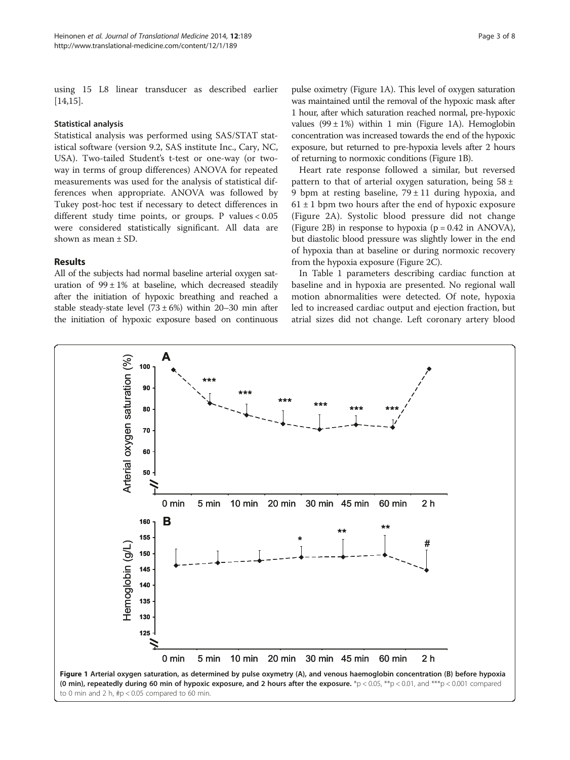using 15 L8 linear transducer as described earlier [[14,15\]](#page-6-0).

#### Statistical analysis

Statistical analysis was performed using SAS/STAT statistical software (version 9.2, SAS institute Inc., Cary, NC, USA). Two-tailed Student's t-test or one-way (or twoway in terms of group differences) ANOVA for repeated measurements was used for the analysis of statistical differences when appropriate. ANOVA was followed by Tukey post-hoc test if necessary to detect differences in different study time points, or groups. P values < 0.05 were considered statistically significant. All data are shown as mean ± SD.

### Results

All of the subjects had normal baseline arterial oxygen saturation of  $99 \pm 1\%$  at baseline, which decreased steadily after the initiation of hypoxic breathing and reached a stable steady-state level  $(73 \pm 6%)$  within 20–30 min after the initiation of hypoxic exposure based on continuous pulse oximetry (Figure 1A). This level of oxygen saturation was maintained until the removal of the hypoxic mask after 1 hour, after which saturation reached normal, pre-hypoxic values  $(99 \pm 1\%)$  within 1 min (Figure 1A). Hemoglobin concentration was increased towards the end of the hypoxic exposure, but returned to pre-hypoxia levels after 2 hours of returning to normoxic conditions (Figure 1B).

Heart rate response followed a similar, but reversed pattern to that of arterial oxygen saturation, being  $58 \pm$ 9 bpm at resting baseline,  $79 \pm 11$  during hypoxia, and  $61 \pm 1$  bpm two hours after the end of hypoxic exposure (Figure [2](#page-3-0)A). Systolic blood pressure did not change (Figure [2](#page-3-0)B) in response to hypoxia  $(p = 0.42$  in ANOVA), but diastolic blood pressure was slightly lower in the end of hypoxia than at baseline or during normoxic recovery from the hypoxia exposure (Figure [2](#page-3-0)C).

In Table [1](#page-4-0) parameters describing cardiac function at baseline and in hypoxia are presented. No regional wall motion abnormalities were detected. Of note, hypoxia led to increased cardiac output and ejection fraction, but atrial sizes did not change. Left coronary artery blood

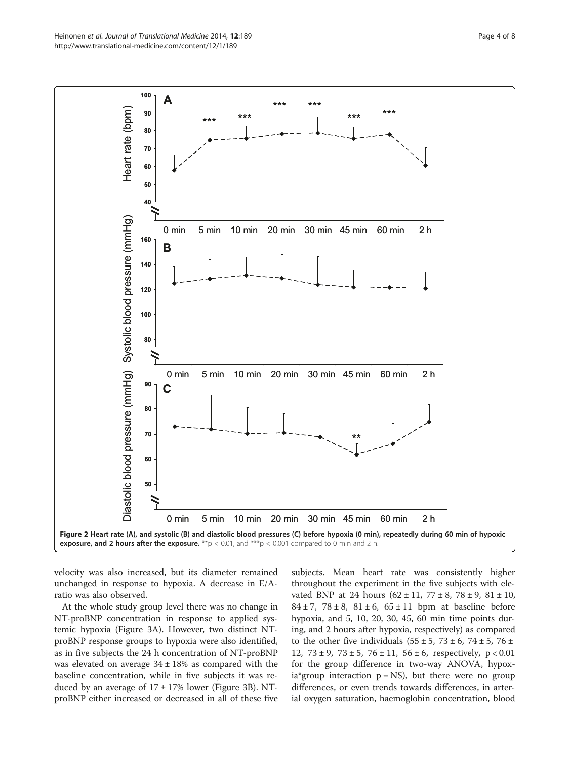<span id="page-3-0"></span>

velocity was also increased, but its diameter remained unchanged in response to hypoxia. A decrease in E/Aratio was also observed.

At the whole study group level there was no change in NT-proBNP concentration in response to applied systemic hypoxia (Figure [3A](#page-5-0)). However, two distinct NTproBNP response groups to hypoxia were also identified, as in five subjects the 24 h concentration of NT-proBNP was elevated on average  $34 \pm 18\%$  as compared with the baseline concentration, while in five subjects it was reduced by an average of  $17 \pm 17\%$  lower (Figure [3B](#page-5-0)). NTproBNP either increased or decreased in all of these five

subjects. Mean heart rate was consistently higher throughout the experiment in the five subjects with elevated BNP at 24 hours  $(62 \pm 11, 77 \pm 8, 78 \pm 9, 81 \pm 10,$ 84  $\pm$  7, 78  $\pm$  8, 81  $\pm$  6, 65  $\pm$  11 bpm at baseline before hypoxia, and 5, 10, 20, 30, 45, 60 min time points during, and 2 hours after hypoxia, respectively) as compared to the other five individuals  $(55 \pm 5, 73 \pm 6, 74 \pm 5, 76 \pm 7)$ 12,  $73 \pm 9$ ,  $73 \pm 5$ ,  $76 \pm 11$ ,  $56 \pm 6$ , respectively,  $p < 0.01$ for the group difference in two-way ANOVA, hypoxia\*group interaction  $p = NS$ ), but there were no group differences, or even trends towards differences, in arterial oxygen saturation, haemoglobin concentration, blood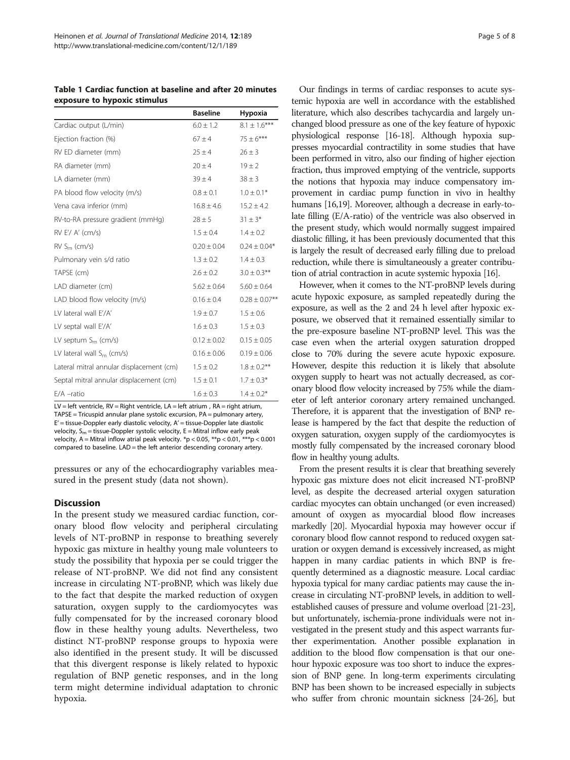<span id="page-4-0"></span>Table 1 Cardiac function at baseline and after 20 minutes exposure to hypoxic stimulus

|                                          | <b>Baseline</b> | Hypoxia            |
|------------------------------------------|-----------------|--------------------|
| Cardiac output (L/min)                   | $6.0 \pm 1.2$   | $8.1 \pm 1.6***$   |
| Ejection fraction (%)                    | $67 \pm 4$      | $75 \pm 6***$      |
| RV ED diameter (mm)                      | $25 \pm 4$      | $26 \pm 3$         |
| RA diameter (mm)                         | $20 \pm 4$      | $19 \pm 2$         |
| LA diameter (mm)                         | $39 \pm 4$      | $38 \pm 3$         |
| PA blood flow velocity (m/s)             | $0.8 \pm 0.1$   | $1.0 \pm 0.1*$     |
| Vena cava inferior (mm)                  | $16.8 \pm 4.6$  | $15.2 \pm 4.2$     |
| RV-to-RA pressure gradient (mmHg)        | $28 \pm 5$      | $31 \pm 3*$        |
| RV E'/ A' (cm/s)                         | $1.5 \pm 0.4$   | $1.4 \pm 0.2$      |
| $RV Sm$ (cm/s)                           | $0.20 \pm 0.04$ | $0.24 \pm 0.04*$   |
| Pulmonary vein s/d ratio                 | $1.3 \pm 0.2$   | $1.4 \pm 0.3$      |
| TAPSE (cm)                               | $2.6 \pm 0.2$   | $3.0 \pm 0.3$ **   |
| LAD diameter (cm)                        | $5.62 \pm 0.64$ | $5.60 \pm 0.64$    |
| LAD blood flow velocity (m/s)            | $0.16 \pm 0.4$  | $0.28 \pm 0.07$ ** |
| LV lateral wall E'/A'                    | $1.9 \pm 0.7$   | $1.5 \pm 0.6$      |
| LV septal wall E'/A'                     | $1.6 \pm 0.3$   | $1.5 \pm 0.3$      |
| LV septum $S_m$ (cm/s)                   | $0.12 \pm 0.02$ | $0.15 \pm 0.05$    |
| LV lateral wall $S_m$ (cm/s)             | $0.16 \pm 0.06$ | $0.19 \pm 0.06$    |
| Lateral mitral annular displacement (cm) | $1.5 \pm 0.2$   | $1.8 \pm 0.2$ **   |
| Septal mitral annular displacement (cm)  | $1.5 \pm 0.1$   | $1.7 \pm 0.3*$     |
| E/A -ratio                               | $1.6 \pm 0.3$   | $1.4 \pm 0.2*$     |

LV = left ventricle, RV = Right ventricle, LA = left atrium , RA = right atrium, TAPSE = Tricuspid annular plane systolic excursion, PA = pulmonary artery,  $E'$  = tissue-Doppler early diastolic velocity,  $A'$  = tissue-Doppler late diastolic velocity,  $S_m$  = tissue-Doppler systolic velocity, E = Mitral inflow early peak velocity, A = Mitral inflow atrial peak velocity.  $*p < 0.05$ ,  $**p < 0.01$ ,  $***p < 0.001$ compared to baseline. LAD = the left anterior descending coronary artery.

pressures or any of the echocardiography variables measured in the present study (data not shown).

### **Discussion**

In the present study we measured cardiac function, coronary blood flow velocity and peripheral circulating levels of NT-proBNP in response to breathing severely hypoxic gas mixture in healthy young male volunteers to study the possibility that hypoxia per se could trigger the release of NT-proBNP. We did not find any consistent increase in circulating NT-proBNP, which was likely due to the fact that despite the marked reduction of oxygen saturation, oxygen supply to the cardiomyocytes was fully compensated for by the increased coronary blood flow in these healthy young adults. Nevertheless, two distinct NT-proBNP response groups to hypoxia were also identified in the present study. It will be discussed that this divergent response is likely related to hypoxic regulation of BNP genetic responses, and in the long term might determine individual adaptation to chronic hypoxia.

Our findings in terms of cardiac responses to acute systemic hypoxia are well in accordance with the established literature, which also describes tachycardia and largely unchanged blood pressure as one of the key feature of hypoxic physiological response [\[16](#page-6-0)-[18](#page-6-0)]. Although hypoxia suppresses myocardial contractility in some studies that have been performed in vitro, also our finding of higher ejection fraction, thus improved emptying of the ventricle, supports the notions that hypoxia may induce compensatory improvement in cardiac pump function in vivo in healthy humans [\[16,19\]](#page-6-0). Moreover, although a decrease in early-tolate filling (E/A-ratio) of the ventricle was also observed in the present study, which would normally suggest impaired diastolic filling, it has been previously documented that this is largely the result of decreased early filling due to preload reduction, while there is simultaneously a greater contribution of atrial contraction in acute systemic hypoxia [\[16\]](#page-6-0).

However, when it comes to the NT-proBNP levels during acute hypoxic exposure, as sampled repeatedly during the exposure, as well as the 2 and 24 h level after hypoxic exposure, we observed that it remained essentially similar to the pre-exposure baseline NT-proBNP level. This was the case even when the arterial oxygen saturation dropped close to 70% during the severe acute hypoxic exposure. However, despite this reduction it is likely that absolute oxygen supply to heart was not actually decreased, as coronary blood flow velocity increased by 75% while the diameter of left anterior coronary artery remained unchanged. Therefore, it is apparent that the investigation of BNP release is hampered by the fact that despite the reduction of oxygen saturation, oxygen supply of the cardiomyocytes is mostly fully compensated by the increased coronary blood flow in healthy young adults.

From the present results it is clear that breathing severely hypoxic gas mixture does not elicit increased NT-proBNP level, as despite the decreased arterial oxygen saturation cardiac myocytes can obtain unchanged (or even increased) amount of oxygen as myocardial blood flow increases markedly [\[20\]](#page-6-0). Myocardial hypoxia may however occur if coronary blood flow cannot respond to reduced oxygen saturation or oxygen demand is excessively increased, as might happen in many cardiac patients in which BNP is frequently determined as a diagnostic measure. Local cardiac hypoxia typical for many cardiac patients may cause the increase in circulating NT-proBNP levels, in addition to wellestablished causes of pressure and volume overload [\[21-23](#page-6-0)], but unfortunately, ischemia-prone individuals were not investigated in the present study and this aspect warrants further experimentation. Another possible explanation in addition to the blood flow compensation is that our onehour hypoxic exposure was too short to induce the expression of BNP gene. In long-term experiments circulating BNP has been shown to be increased especially in subjects who suffer from chronic mountain sickness [\[24-26\]](#page-7-0), but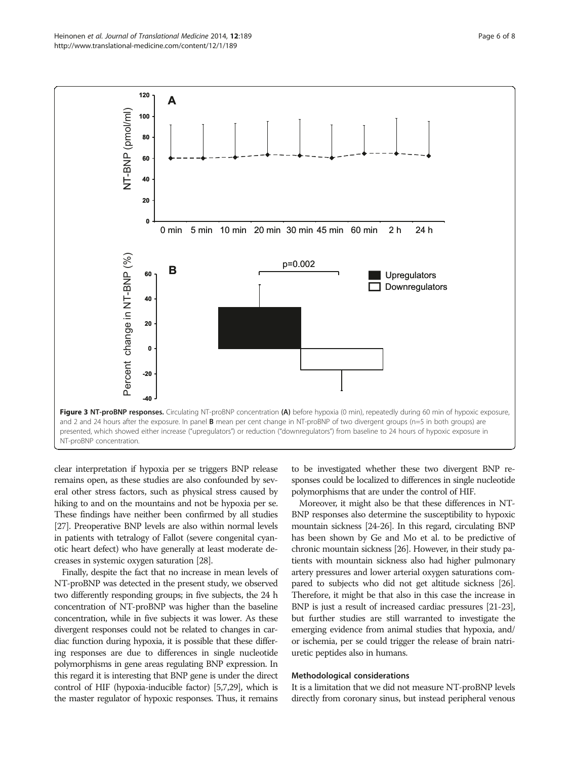<span id="page-5-0"></span>

clear interpretation if hypoxia per se triggers BNP release remains open, as these studies are also confounded by several other stress factors, such as physical stress caused by hiking to and on the mountains and not be hypoxia per se. These findings have neither been confirmed by all studies [[27](#page-7-0)]. Preoperative BNP levels are also within normal levels in patients with tetralogy of Fallot (severe congenital cyanotic heart defect) who have generally at least moderate decreases in systemic oxygen saturation [\[28](#page-7-0)].

Finally, despite the fact that no increase in mean levels of NT-proBNP was detected in the present study, we observed two differently responding groups; in five subjects, the 24 h concentration of NT-proBNP was higher than the baseline concentration, while in five subjects it was lower. As these divergent responses could not be related to changes in cardiac function during hypoxia, it is possible that these differing responses are due to differences in single nucleotide polymorphisms in gene areas regulating BNP expression. In this regard it is interesting that BNP gene is under the direct control of HIF (hypoxia-inducible factor) [\[5,7](#page-6-0)[,29\]](#page-7-0), which is the master regulator of hypoxic responses. Thus, it remains

to be investigated whether these two divergent BNP responses could be localized to differences in single nucleotide polymorphisms that are under the control of HIF.

Moreover, it might also be that these differences in NT-BNP responses also determine the susceptibility to hypoxic mountain sickness [\[24-26\]](#page-7-0). In this regard, circulating BNP has been shown by Ge and Mo et al. to be predictive of chronic mountain sickness [\[26](#page-7-0)]. However, in their study patients with mountain sickness also had higher pulmonary artery pressures and lower arterial oxygen saturations compared to subjects who did not get altitude sickness [\[26](#page-7-0)]. Therefore, it might be that also in this case the increase in BNP is just a result of increased cardiac pressures [\[21-23](#page-6-0)], but further studies are still warranted to investigate the emerging evidence from animal studies that hypoxia, and/ or ischemia, per se could trigger the release of brain natriuretic peptides also in humans.

#### Methodological considerations

It is a limitation that we did not measure NT-proBNP levels directly from coronary sinus, but instead peripheral venous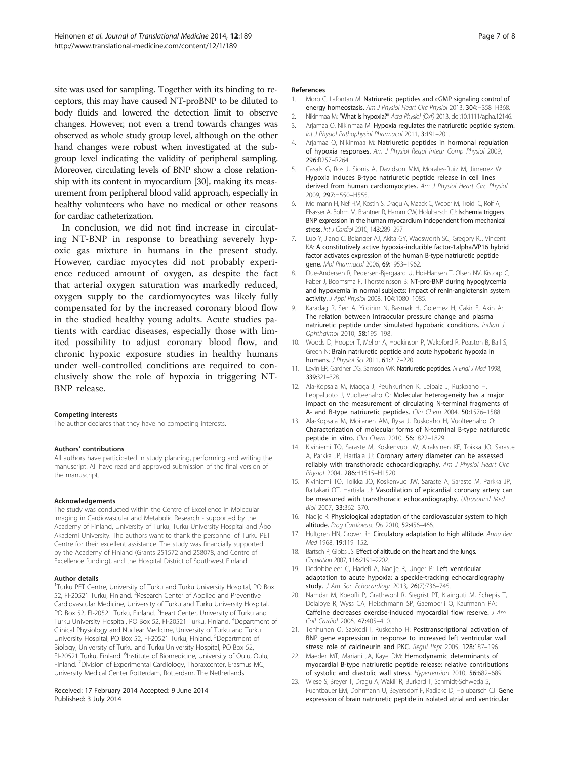<span id="page-6-0"></span>site was used for sampling. Together with its binding to receptors, this may have caused NT-proBNP to be diluted to body fluids and lowered the detection limit to observe changes. However, not even a trend towards changes was observed as whole study group level, although on the other hand changes were robust when investigated at the subgroup level indicating the validity of peripheral sampling. Moreover, circulating levels of BNP show a close relationship with its content in myocardium [[30](#page-7-0)], making its measurement from peripheral blood valid approach, especially in healthy volunteers who have no medical or other reasons for cardiac catheterization.

In conclusion, we did not find increase in circulating NT-BNP in response to breathing severely hypoxic gas mixture in humans in the present study. However, cardiac myocytes did not probably experience reduced amount of oxygen, as despite the fact that arterial oxygen saturation was markedly reduced, oxygen supply to the cardiomyocytes was likely fully compensated for by the increased coronary blood flow in the studied healthy young adults. Acute studies patients with cardiac diseases, especially those with limited possibility to adjust coronary blood flow, and chronic hypoxic exposure studies in healthy humans under well-controlled conditions are required to conclusively show the role of hypoxia in triggering NT-BNP release.

#### Competing interests

The author declares that they have no competing interests.

#### Authors' contributions

All authors have participated in study planning, performing and writing the manuscript. All have read and approved submission of the final version of the manuscript.

#### Acknowledgements

The study was conducted within the Centre of Excellence in Molecular Imaging in Cardiovascular and Metabolic Research - supported by the Academy of Finland, University of Turku, Turku University Hospital and Åbo Akademi University. The authors want to thank the personnel of Turku PET Centre for their excellent assistance. The study was financially supported by the Academy of Finland (Grants 251572 and 258078, and Centre of Excellence funding), and the Hospital District of Southwest Finland.

#### Author details

<sup>1</sup>Turku PET Centre, University of Turku and Turku University Hospital, PO Box 52, FI-20521 Turku, Finland. <sup>2</sup>Research Center of Applied and Preventive Cardiovascular Medicine, University of Turku and Turku University Hospital, PO Box 52, FI-20521 Turku, Finland. <sup>3</sup> Heart Center, University of Turku and Turku University Hospital, PO Box 52, FI-20521 Turku, Finland. <sup>4</sup>Department of Clinical Physiology and Nuclear Medicine, University of Turku and Turku University Hospital, PO Box 52, FI-20521 Turku, Finland. <sup>5</sup>Department of Biology, University of Turku and Turku University Hospital, PO Box 52, FI-20521 Turku, Finland. <sup>6</sup>Institute of Biomedicine, University of Oulu, Oulu, Finland. <sup>7</sup> Division of Experimental Cardiology, Thoraxcenter, Erasmus MC, University Medical Center Rotterdam, Rotterdam, The Netherlands.

#### Received: 17 February 2014 Accepted: 9 June 2014 Published: 3 July 2014

#### References

- 1. Moro C, Lafontan M: Natriuretic peptides and cGMP signaling control of energy homeostasis. Am J Physiol Heart Circ Physiol 2013, 304:H358-H368.
- 2. Nikinmaa M: "What is hypoxia?" Acta Physiol (Oxf) 2013, doi:10.1111/apha.12146. 3. Arjamaa O, Nikinmaa M: Hypoxia regulates the natriuretic peptide system. Int J Physiol Pathophysiol Pharmacol 2011, 3:191–201.
- 4. Arjamaa O, Nikinmaa M: Natriuretic peptides in hormonal regulation of hypoxia responses. Am J Physiol Regul Integr Comp Physiol 2009, 296:R257–R264.
- 5. Casals G, Ros J, Sionis A, Davidson MM, Morales-Ruiz M, Jimenez W: Hypoxia induces B-type natriuretic peptide release in cell lines derived from human cardiomyocytes. Am J Physiol Heart Circ Physiol 2009, 297:H550–H555.
- 6. Mollmann H, Nef HM, Kostin S, Dragu A, Maack C, Weber M, Troidl C, Rolf A, Elsasser A, Bohm M, Brantner R, Hamm CW, Holubarsch CJ: Ischemia triggers BNP expression in the human myocardium independent from mechanical stress. Int J Cardiol 2010, 143:289-297.
- 7. Luo Y, Jiang C, Belanger AJ, Akita GY, Wadsworth SC, Gregory RJ, Vincent KA: A constitutively active hypoxia-inducible factor-1alpha/VP16 hybrid factor activates expression of the human B-type natriuretic peptide gene. Mol Pharmacol 2006, 69:1953–1962.
- 8. Due-Andersen R, Pedersen-Bjergaard U, Hoi-Hansen T, Olsen NV, Kistorp C, Faber J, Boomsma F, Thorsteinsson B: NT-pro-BNP during hypoglycemia and hypoxemia in normal subjects: impact of renin-angiotensin system activity. J Appl Physiol 2008, 104:1080–1085.
- 9. Karadag R, Sen A, Yildirim N, Basmak H, Golemez H, Cakir E, Akin A: The relation between intraocular pressure change and plasma natriuretic peptide under simulated hypobaric conditions. Indian J Ophthalmol 2010, 58:195–198.
- 10. Woods D, Hooper T, Mellor A, Hodkinson P, Wakeford R, Peaston B, Ball S, Green N: Brain natriuretic peptide and acute hypobaric hypoxia in humans. J Physiol Sci 2011, 61:217–220.
- 11. Levin ER, Gardner DG, Samson WK: Natriuretic peptides. N Engl J Med 1998, 339:321–328.
- 12. Ala-Kopsala M, Magga J, Peuhkurinen K, Leipala J, Ruskoaho H, Leppaluoto J, Vuolteenaho O: Molecular heterogeneity has a major impact on the measurement of circulating N-terminal fragments of A- and B-type natriuretic peptides. Clin Chem 2004, 50:1576-1588.
- 13. Ala-Kopsala M, Moilanen AM, Rysa J, Ruskoaho H, Vuolteenaho O: Characterization of molecular forms of N-terminal B-type natriuretic peptide in vitro. Clin Chem 2010, 56:1822–1829.
- 14. Kiviniemi TO, Saraste M, Koskenvuo JW, Airaksinen KE, Toikka JO, Saraste A, Parkka JP, Hartiala JJ: Coronary artery diameter can be assessed reliably with transthoracic echocardiography. Am J Physiol Heart Circ Physiol 2004, 286:H1515–H1520.
- 15. Kiviniemi TO, Toikka JO, Koskenvuo JW, Saraste A, Saraste M, Parkka JP, Raitakari OT, Hartiala JJ: Vasodilation of epicardial coronary artery can be measured with transthoracic echocardiography. Ultrasound Med Biol 2007, 33:362–370.
- 16. Naeije R: Physiological adaptation of the cardiovascular system to high altitude. Prog Cardiovasc Dis 2010, 52:456–466.
- 17. Hultgren HN, Grover RF: Circulatory adaptation to high altitude. Annu Rev Med 1968, 19:119–152.
- 18. Bartsch P, Gibbs JS: Effect of altitude on the heart and the lungs. Circulation 2007, 116:2191–2202.
- 19. Dedobbeleer C, Hadefi A, Naeije R, Unger P: Left ventricular adaptation to acute hypoxia: a speckle-tracking echocardiography study. J Am Soc Echocardiogr 2013, 26(7):736-745.
- 20. Namdar M, Koepfli P, Grathwohl R, Siegrist PT, Klainguti M, Schepis T, Delaloye R, Wyss CA, Fleischmann SP, Gaemperli O, Kaufmann PA: Caffeine decreases exercise-induced myocardial flow reserve. J Am Coll Cardiol 2006, 47:405–410.
- 21. Tenhunen O, Szokodi I, Ruskoaho H: Posttranscriptional activation of BNP gene expression in response to increased left ventricular wall stress: role of calcineurin and PKC. Regul Pept 2005, 128:187–196.
- 22. Maeder MT, Mariani JA, Kaye DM: Hemodynamic determinants of myocardial B-type natriuretic peptide release: relative contributions of systolic and diastolic wall stress. Hypertension 2010, 56:682–689.
- 23. Wiese S, Breyer T, Dragu A, Wakili R, Burkard T, Schmidt-Schweda S, Fuchtbauer EM, Dohrmann U, Beyersdorf F, Radicke D, Holubarsch CJ: Gene expression of brain natriuretic peptide in isolated atrial and ventricular